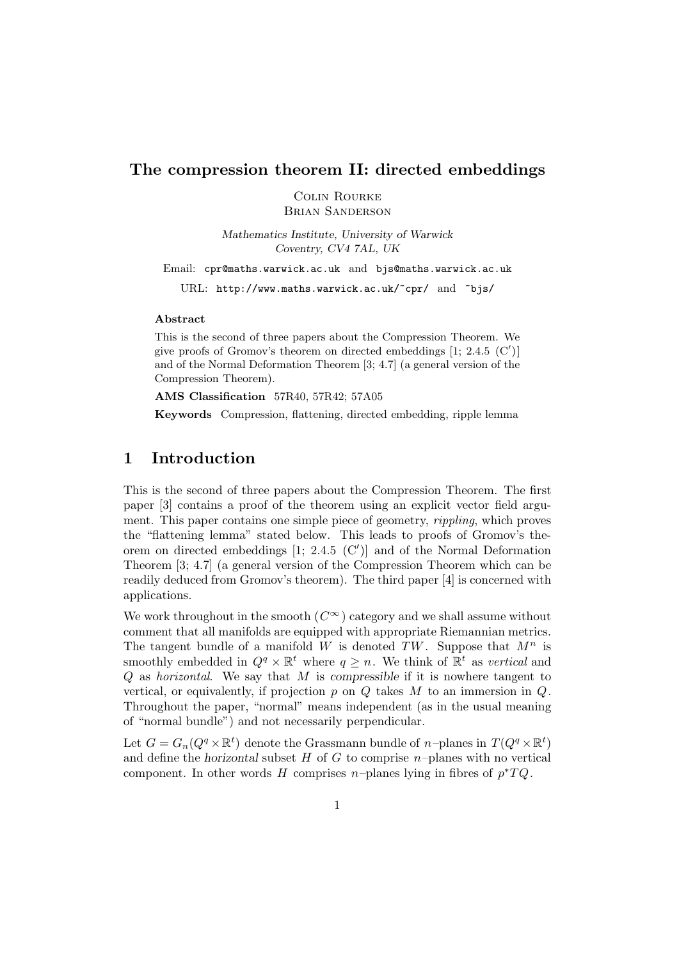## **The compression theorem II: directed embeddings**

Colin Rourke

Brian Sanderson

*Mathematics Institute, University of Warwick Coventry, CV4 7AL, UK*

Email: cpr@maths.warwick.ac.uk and bjs@maths.warwick.ac.uk

URL: http://www.maths.warwick.ac.uk/~cpr/ and ~bjs/

### **Abstract**

This is the second of three papers about the Compression Theorem. We give proofs of Gromov's theorem on directed embeddings  $[1; 2.4.5 \,(C')]$ and of the Normal Deformation Theorem [3; 4.7] (a general version of the Compression Theorem).

**AMS Classification** 57R40, 57R42; 57A05

**Keywords** Compression, flattening, directed embedding, ripple lemma

## **1 Introduction**

This is the second of three papers about the Compression Theorem. The first paper [3] contains a proof of the theorem using an explicit vector field argument. This paper contains one simple piece of geometry, rippling, which proves the "flattening lemma" stated below. This leads to proofs of Gromov's theorem on directed embeddings  $[1; 2.4.5 (C')]$  and of the Normal Deformation Theorem [3; 4.7] (a general version of the Compression Theorem which can be readily deduced from Gromov's theorem). The third paper [4] is concerned with applications.

We work throughout in the smooth  $(C^{\infty})$  category and we shall assume without comment that all manifolds are equipped with appropriate Riemannian metrics. The tangent bundle of a manifold W is denoted TW. Suppose that  $M^n$  is smoothly embedded in  $Q^q \times \mathbb{R}^t$  where  $q \geq n$ . We think of  $\mathbb{R}^t$  as vertical and Q as horizontal. We say that M is *compressible* if it is nowhere tangent to vertical, or equivalently, if projection  $p$  on  $Q$  takes  $M$  to an immersion in  $Q$ . Throughout the paper, "normal" means independent (as in the usual meaning of "normal bundle") and not necessarily perpendicular.

Let  $G = G_n(Q^q \times \mathbb{R}^t)$  denote the Grassmann bundle of *n*-planes in  $T(Q^q \times \mathbb{R}^t)$ and define the *horizontal* subset  $H$  of  $G$  to comprise  $n$ -planes with no vertical component. In other words H comprises n–planes lying in fibres of  $p^*TQ$ .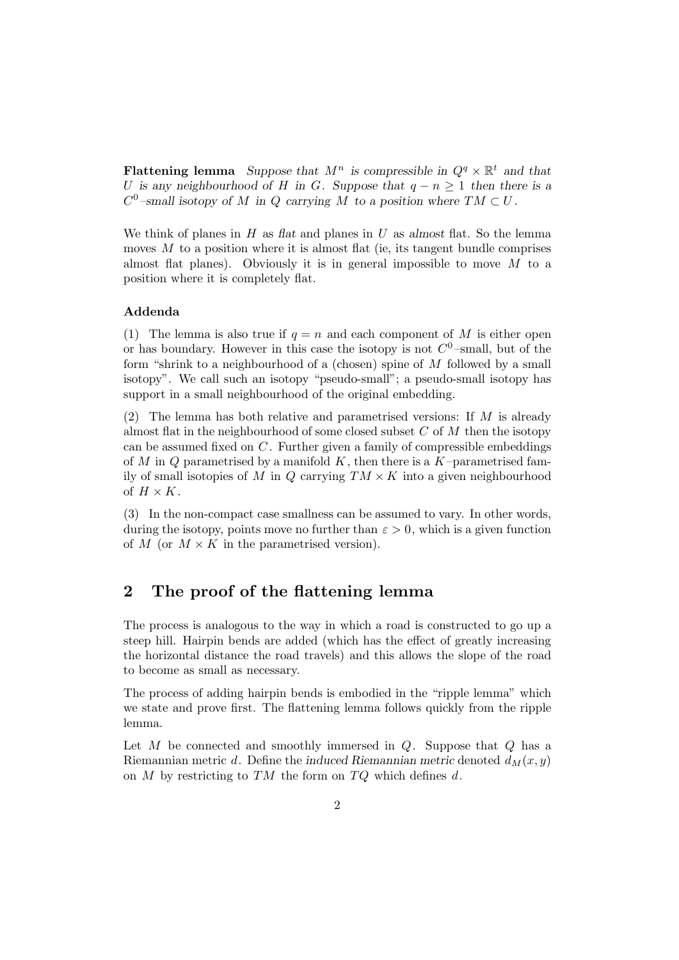**Flattening lemma** *Suppose that*  $M^n$  *is compressible in*  $Q^q \times \mathbb{R}^t$  *and that* U is any neighbourhood of H in G. Suppose that  $q - n \geq 1$  then there is a  $C^0$ -small isotopy of M in Q carrying M to a position where  $TM \subset U$ .

We think of planes in H as *flat* and planes in U as *almost* flat. So the lemma moves  $M$  to a position where it is almost flat (ie, its tangent bundle comprises almost flat planes). Obviously it is in general impossible to move  $M$  to a position where it is completely flat.

### **Addenda**

(1) The lemma is also true if  $q = n$  and each component of M is either open or has boundary. However in this case the isotopy is not  $C^0$ -small, but of the form "shrink to a neighbourhood of a (chosen) spine of  $M$  followed by a small isotopy". We call such an isotopy "pseudo-small"; a pseudo-small isotopy has support in a small neighbourhood of the original embedding.

(2) The lemma has both relative and parametrised versions: If  $M$  is already almost flat in the neighbourhood of some closed subset  $C$  of  $M$  then the isotopy can be assumed fixed on C. Further given a family of compressible embeddings of M in Q parametrised by a manifold  $K$ , then there is a  $K$ -parametrised family of small isotopies of M in Q carrying  $TM \times K$  into a given neighbourhood of  $H \times K$ .

(3) In the non-compact case smallness can be assumed to vary. In other words, during the isotopy, points move no further than  $\varepsilon > 0$ , which is a given function of M (or  $M \times K$  in the parametrised version).

## **2 The proof of the flattening lemma**

The process is analogous to the way in which a road is constructed to go up a steep hill. Hairpin bends are added (which has the effect of greatly increasing the horizontal distance the road travels) and this allows the slope of the road to become as small as necessary.

The process of adding hairpin bends is embodied in the "ripple lemma" which we state and prove first. The flattening lemma follows quickly from the ripple lemma.

Let  $M$  be connected and smoothly immersed in  $Q$ . Suppose that  $Q$  has a Riemannian metric d. Define the *induced Riemannian metric* denoted  $d_M(x, y)$ on  $M$  by restricting to  $TM$  the form on  $TQ$  which defines  $d$ .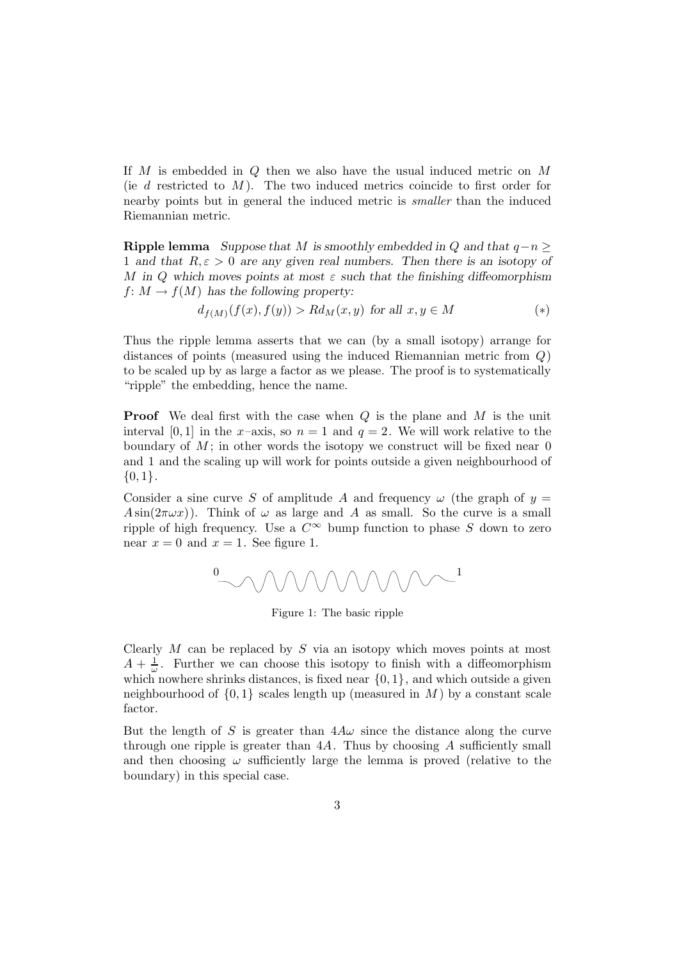If M is embedded in Q then we also have the usual induced metric on M (ie  $d$  restricted to  $M$ ). The two induced metrics coincide to first order for nearby points but in general the induced metric is smaller than the induced Riemannian metric.

**Ripple lemma** *Suppose that* M *is smoothly embedded in*  $Q$  *and that*  $q - n$  > 1 and that  $R, \varepsilon > 0$  are any given real numbers. Then there is an isotopy of M in Q which moves points at most  $\varepsilon$  such that the finishing diffeomorphism  $f: M \to f(M)$  has the following property:

$$
d_{f(M)}(f(x), f(y)) > R d_M(x, y) \text{ for all } x, y \in M \tag{*}
$$

Thus the ripple lemma asserts that we can (by a small isotopy) arrange for distances of points (measured using the induced Riemannian metric from  $Q$ ) to be scaled up by as large a factor as we please. The proof is to systematically "ripple" the embedding, hence the name.

**Proof** We deal first with the case when Q is the plane and M is the unit interval [0, 1] in the x-axis, so  $n = 1$  and  $q = 2$ . We will work relative to the boundary of  $M$ ; in other words the isotopy we construct will be fixed near  $0$ and 1 and the scaling up will work for points outside a given neighbourhood of  ${0,1}.$ 

Consider a sine curve S of amplitude A and frequency  $\omega$  (the graph of  $y =$  $A\sin(2\pi\omega x)$ . Think of  $\omega$  as large and A as small. So the curve is a small ripple of high frequency. Use a  $C^{\infty}$  bump function to phase S down to zero near  $x = 0$  and  $x = 1$ . See figure 1.



Figure 1: The basic ripple

Clearly  $M$  can be replaced by  $S$  via an isotopy which moves points at most  $A + \frac{1}{\omega}$ . Further we can choose this isotopy to finish with a diffeomorphism which nowhere shrinks distances, is fixed near  $\{0, 1\}$ , and which outside a given neighbourhood of  $\{0,1\}$  scales length up (measured in M) by a constant scale factor.

But the length of S is greater than  $4A\omega$  since the distance along the curve through one ripple is greater than  $4A$ . Thus by choosing A sufficiently small and then choosing  $\omega$  sufficiently large the lemma is proved (relative to the boundary) in this special case.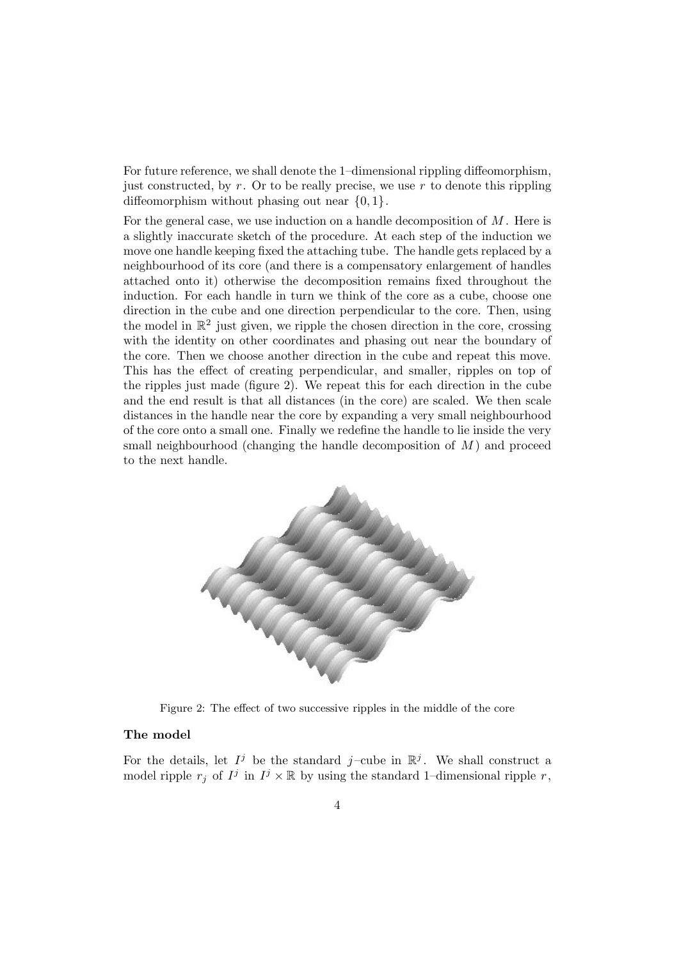For future reference, we shall denote the 1–dimensional rippling diffeomorphism, just constructed, by  $r$ . Or to be really precise, we use  $r$  to denote this rippling diffeomorphism without phasing out near  $\{0,1\}$ .

For the general case, we use induction on a handle decomposition of  $M$ . Here is a slightly inaccurate sketch of the procedure. At each step of the induction we move one handle keeping fixed the attaching tube. The handle gets replaced by a neighbourhood of its core (and there is a compensatory enlargement of handles attached onto it) otherwise the decomposition remains fixed throughout the induction. For each handle in turn we think of the core as a cube, choose one direction in the cube and one direction perpendicular to the core. Then, using the model in  $\mathbb{R}^2$  just given, we ripple the chosen direction in the core, crossing with the identity on other coordinates and phasing out near the boundary of the core. Then we choose another direction in the cube and repeat this move. This has the effect of creating perpendicular, and smaller, ripples on top of the ripples just made (figure 2). We repeat this for each direction in the cube and the end result is that all distances (in the core) are scaled. We then scale distances in the handle near the core by expanding a very small neighbourhood of the core onto a small one. Finally we redefine the handle to lie inside the very small neighbourhood (changing the handle decomposition of  $M$ ) and proceed to the next handle.



Figure 2: The effect of two successive ripples in the middle of the core

### **The model**

For the details, let  $I^j$  be the standard j-cube in  $\mathbb{R}^j$ . We shall construct a model ripple  $r_j$  of  $I^j$  in  $I^j \times \mathbb{R}$  by using the standard 1–dimensional ripple r,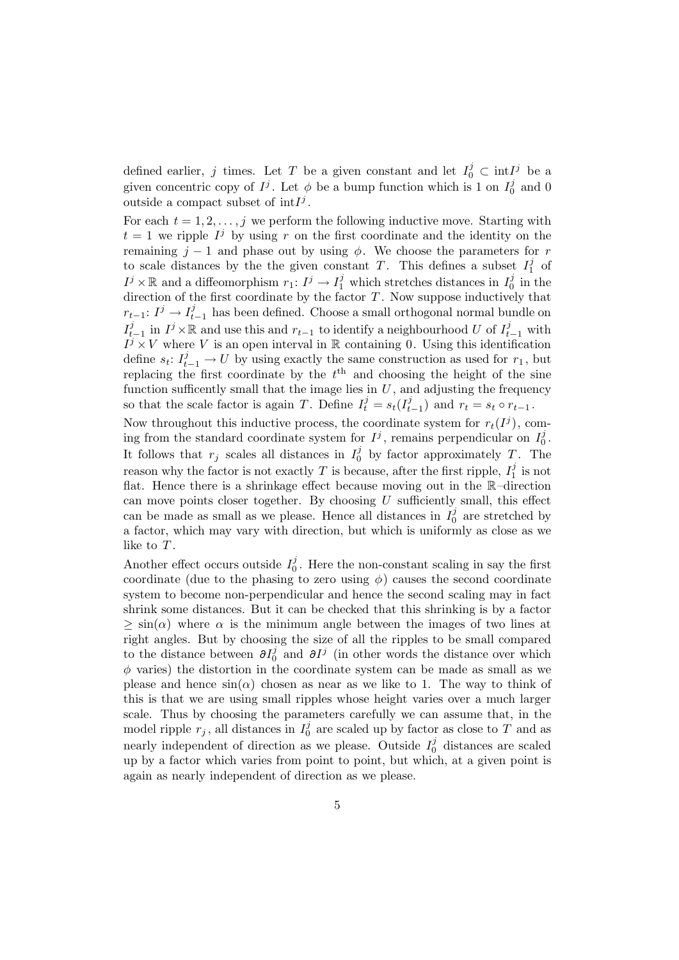defined earlier, j times. Let T be a given constant and let  $I_0^j \subset \text{int}I^j$  be a given concentric copy of  $I^j$ . Let  $\phi$  be a bump function which is 1 on  $I_0^j$  and 0 outside a compact subset of  $int I^{j}$ .

For each  $t = 1, 2, \ldots, j$  we perform the following inductive move. Starting with  $t = 1$  we ripple  $I^j$  by using r on the first coordinate and the identity on the remaining  $j - 1$  and phase out by using  $\phi$ . We choose the parameters for r to scale distances by the the given constant T. This defines a subset  $I_1^j$  of  $I^j \times \mathbb{R}$  and a diffeomorphism  $r_1: I^j \to I_1^j$  which stretches distances in  $I_0^j$  in the direction of the first coordinate by the factor  $T$ . Now suppose inductively that  $r_{t-1}: I^j \to I^j_{t-1}$  has been defined. Choose a small orthogonal normal bundle on  $I_{t-1}^j$  in  $I^j \times \mathbb{R}$  and use this and  $r_{t-1}$  to identify a neighbourhood U of  $I_{t-1}^j$  with  $I^{i-1}$   $\rightarrow$  V where V is an open interval in R containing 0. Using this identification define  $s_t: I_{t-1}^j \to U$  by using exactly the same construction as used for  $r_1$ , but replacing the first coordinate by the  $t<sup>th</sup>$  and choosing the height of the sine function sufficently small that the image lies in  $U$ , and adjusting the frequency so that the scale factor is again T. Define  $I_t^j = s_t(I_{t-1}^j)$  and  $r_t = s_t \circ r_{t-1}$ .

Now throughout this inductive process, the coordinate system for  $r_t(I^j)$ , coming from the standard coordinate system for  $I^j$ , remains perpendicular on  $I_0^j$ . It follows that  $r_j$  scales all distances in  $I_0^j$  by factor approximately T. The reason why the factor is not exactly  $T$  is because, after the first ripple,  $I_1^j$  is not flat. Hence there is a shrinkage effect because moving out in the R–direction can move points closer together. By choosing  $U$  sufficiently small, this effect can be made as small as we please. Hence all distances in  $I_0^j$  are stretched by a factor, which may vary with direction, but which is uniformly as close as we like to T.

Another effect occurs outside  $I_0^j$ . Here the non-constant scaling in say the first coordinate (due to the phasing to zero using  $\phi$ ) causes the second coordinate system to become non-perpendicular and hence the second scaling may in fact shrink some distances. But it can be checked that this shrinking is by a factor  $\geq \sin(\alpha)$  where  $\alpha$  is the minimum angle between the images of two lines at right angles. But by choosing the size of all the ripples to be small compared to the distance between  $\partial I_0^j$  and  $\partial I^j$  (in other words the distance over which  $\phi$  varies) the distortion in the coordinate system can be made as small as we please and hence  $sin(\alpha)$  chosen as near as we like to 1. The way to think of this is that we are using small ripples whose height varies over a much larger scale. Thus by choosing the parameters carefully we can assume that, in the model ripple  $r_j$ , all distances in  $I_0^j$  are scaled up by factor as close to T and as nearly independent of direction as we please. Outside  $I_0^j$  distances are scaled up by a factor which varies from point to point, but which, at a given point is again as nearly independent of direction as we please.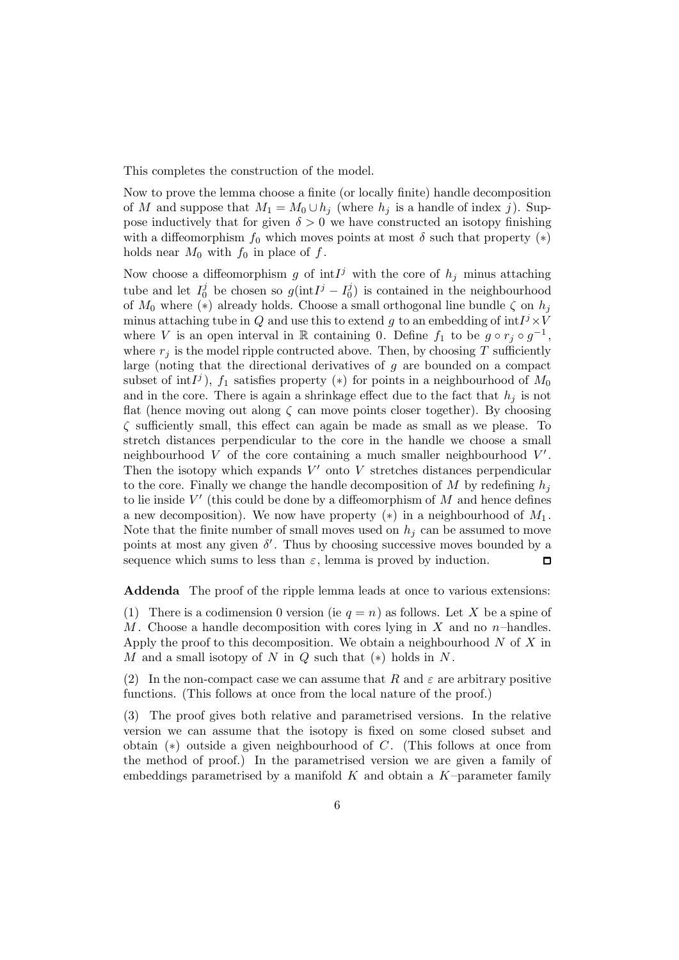This completes the construction of the model.

Now to prove the lemma choose a finite (or locally finite) handle decomposition of M and suppose that  $M_1 = M_0 \cup h_j$  (where  $h_j$  is a handle of index j). Suppose inductively that for given  $\delta > 0$  we have constructed an isotopy finishing with a diffeomorphism  $f_0$  which moves points at most  $\delta$  such that property  $(*)$ holds near  $M_0$  with  $f_0$  in place of  $f$ .

Now choose a diffeomorphism g of  $int1^j$  with the core of  $h_j$  minus attaching tube and let  $I_0^j$  be chosen so  $g(\text{int}I^j - I_0^j)$  is contained in the neighbourhood of  $M_0$  where  $(*)$  already holds. Choose a small orthogonal line bundle  $\zeta$  on  $h_i$ minus attaching tube in Q and use this to extend g to an embedding of  $int^{j} \times V$ where V is an open interval in R containing 0. Define  $f_1$  to be  $g \circ r_j \circ g^{-1}$ , where  $r_i$  is the model ripple contructed above. Then, by choosing T sufficiently large (noting that the directional derivatives of  $g$  are bounded on a compact subset of int $I^j$ ),  $f_1$  satisfies property (\*) for points in a neighbourhood of  $M_0$ and in the core. There is again a shrinkage effect due to the fact that  $h_j$  is not flat (hence moving out along  $\zeta$  can move points closer together). By choosing  $\zeta$  sufficiently small, this effect can again be made as small as we please. To stretch distances perpendicular to the core in the handle we choose a small neighbourhood V of the core containing a much smaller neighbourhood  $V'$ . Then the isotopy which expands  $V'$  onto V stretches distances perpendicular to the core. Finally we change the handle decomposition of  $M$  by redefining  $h_i$ to lie inside  $V'$  (this could be done by a diffeomorphism of  $M$  and hence defines a new decomposition). We now have property  $(*)$  in a neighbourhood of  $M_1$ . Note that the finite number of small moves used on  $h_i$  can be assumed to move points at most any given  $\delta'$ . Thus by choosing successive moves bounded by a sequence which sums to less than  $\varepsilon$ , lemma is proved by induction.  $\Box$ 

**Addenda** The proof of the ripple lemma leads at once to various extensions:

(1) There is a codimension 0 version (ie  $q = n$ ) as follows. Let X be a spine of M. Choose a handle decomposition with cores lying in  $X$  and no n–handles. Apply the proof to this decomposition. We obtain a neighbourhood  $N$  of  $X$  in M and a small isotopy of N in  $Q$  such that  $(*)$  holds in N.

(2) In the non-compact case we can assume that R and  $\varepsilon$  are arbitrary positive functions. (This follows at once from the local nature of the proof.)

(3) The proof gives both relative and parametrised versions. In the relative version we can assume that the isotopy is fixed on some closed subset and obtain (∗) outside a given neighbourhood of C. (This follows at once from the method of proof.) In the parametrised version we are given a family of embeddings parametrised by a manifold  $K$  and obtain a  $K$ -parameter family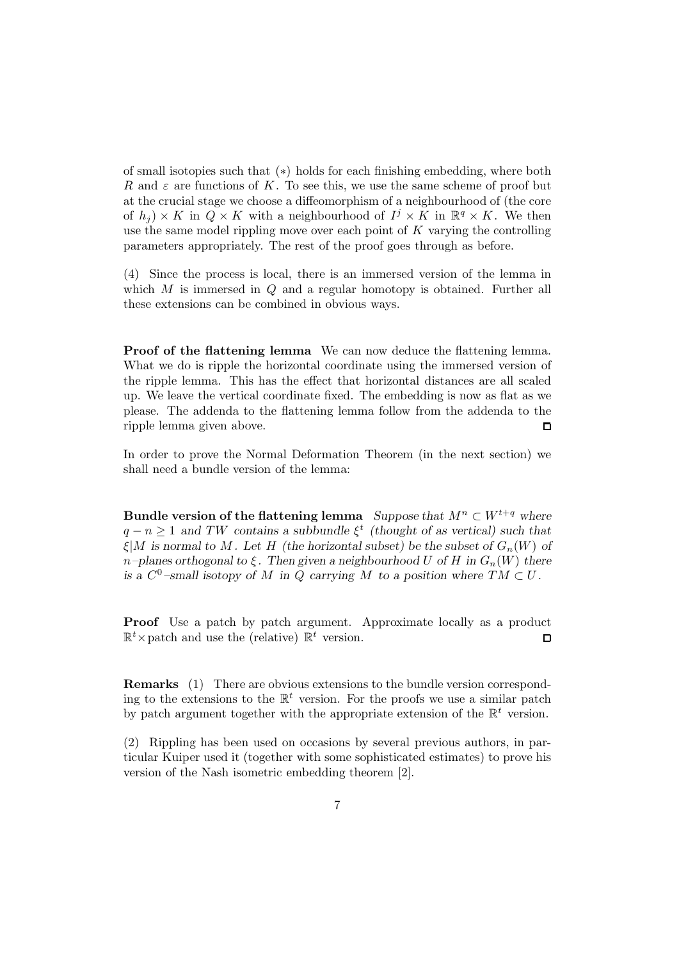of small isotopies such that (∗) holds for each finishing embedding, where both R and  $\varepsilon$  are functions of K. To see this, we use the same scheme of proof but at the crucial stage we choose a diffeomorphism of a neighbourhood of (the core of  $h_i$ ) × K in  $Q \times K$  with a neighbourhood of  $I^j \times K$  in  $\mathbb{R}^q \times K$ . We then use the same model rippling move over each point of  $K$  varying the controlling parameters appropriately. The rest of the proof goes through as before.

(4) Since the process is local, there is an immersed version of the lemma in which  $M$  is immersed in  $Q$  and a regular homotopy is obtained. Further all these extensions can be combined in obvious ways.

**Proof of the flattening lemma** We can now deduce the flattening lemma. What we do is ripple the horizontal coordinate using the immersed version of the ripple lemma. This has the effect that horizontal distances are all scaled up. We leave the vertical coordinate fixed. The embedding is now as flat as we please. The addenda to the flattening lemma follow from the addenda to the ripple lemma given above.  $\Box$ 

In order to prove the Normal Deformation Theorem (in the next section) we shall need a bundle version of the lemma:

**Bundle version of the flattening lemma** *Suppose that*  $M^n \subset W^{t+q}$  *where*  $q - n \geq 1$  *and TW contains a subbundle*  $\xi^t$  *(thought of as vertical) such that*  $\xi|M$  is normal to M. Let H (the horizontal subset) be the subset of  $G_n(W)$  of  $n$ *–planes orthogonal to*  $\xi$ . Then given a neighbourhood U of H in  $G_n(W)$  there *is a*  $C^0$ -small isotopy of M in Q carrying M to a position where  $TM \subset U$ .

**Proof** Use a patch by patch argument. Approximate locally as a product  $\mathbb{R}^t$  × patch and use the (relative)  $\mathbb{R}^t$  version.  $\Box$ 

**Remarks** (1) There are obvious extensions to the bundle version corresponding to the extensions to the  $\mathbb{R}^t$  version. For the proofs we use a similar patch by patch argument together with the appropriate extension of the  $\mathbb{R}^t$  version.

(2) Rippling has been used on occasions by several previous authors, in particular Kuiper used it (together with some sophisticated estimates) to prove his version of the Nash isometric embedding theorem [2].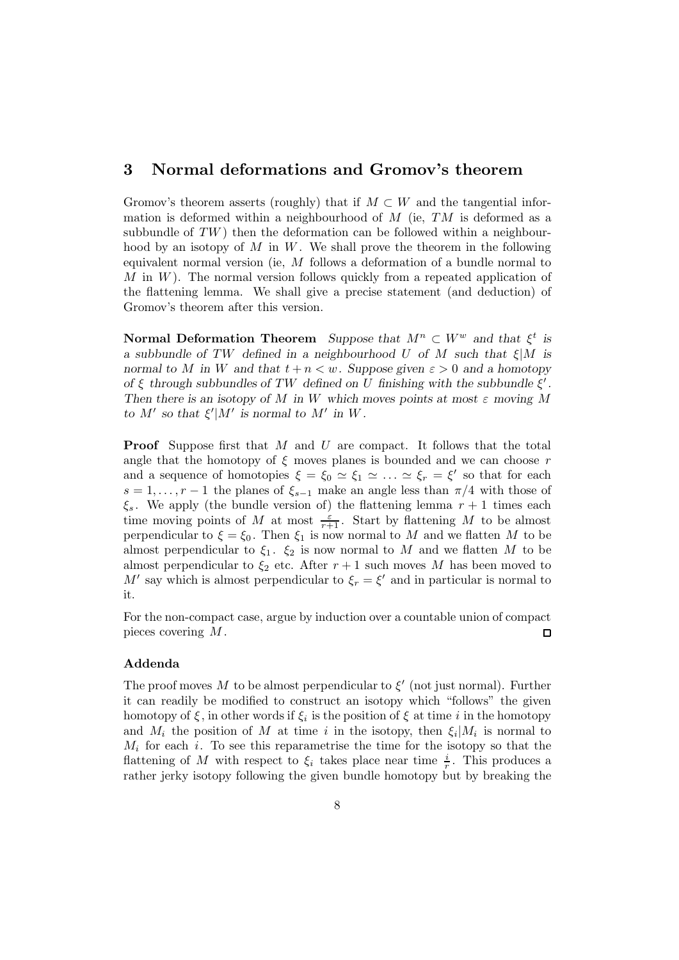## **3 Normal deformations and Gromov's theorem**

Gromov's theorem asserts (roughly) that if  $M \subset W$  and the tangential information is deformed within a neighbourhood of  $M$  (ie,  $TM$  is deformed as a subbundle of  $TW$ ) then the deformation can be followed within a neighbourhood by an isotopy of  $M$  in  $W$ . We shall prove the theorem in the following equivalent normal version (ie, M follows a deformation of a bundle normal to  $M$  in  $W$ ). The normal version follows quickly from a repeated application of the flattening lemma. We shall give a precise statement (and deduction) of Gromov's theorem after this version.

**Normal Deformation Theorem** *Suppose that*  $M^n \subset W^w$  *and that*  $\xi^t$  *is a subbundle of* TW *defined in a neighbourhood* U *of* M *such that* ξ|M *is normal to* M *in* W *and that*  $t + n < w$ *. Suppose given*  $\varepsilon > 0$  *and a homotopy of*  $\xi$  *through subbundles of TW defined on* U *finishing with the subbundle*  $\xi'$ . *Then there is an isotopy of* M *in* W *which moves points at most* ε *moving* M *to*  $M'$  *so that*  $\xi'|M'$  *is normal to*  $M'$  *in*  $W$ *.* 

**Proof** Suppose first that M and U are compact. It follows that the total angle that the homotopy of  $\xi$  moves planes is bounded and we can choose r and a sequence of homotopies  $\xi = \xi_0 \simeq \xi_1 \simeq \ldots \simeq \xi_r = \xi'$  so that for each  $s = 1, \ldots, r-1$  the planes of  $\xi_{s-1}$  make an angle less than  $\pi/4$  with those of  $\xi_s$ . We apply (the bundle version of) the flattening lemma  $r+1$  times each time moving points of M at most  $\frac{\varepsilon}{r+1}$ . Start by flattening M to be almost perpendicular to  $\xi = \xi_0$ . Then  $\xi_1$  is now normal to M and we flatten M to be almost perpendicular to  $\xi_1$ .  $\xi_2$  is now normal to M and we flatten M to be almost perpendicular to  $\xi_2$  etc. After  $r+1$  such moves M has been moved to M' say which is almost perpendicular to  $\xi_r = \xi'$  and in particular is normal to it.

For the non-compact case, argue by induction over a countable union of compact pieces covering M .  $\Box$ 

### **Addenda**

The proof moves M to be almost perpendicular to  $\xi'$  (not just normal). Further it can readily be modified to construct an isotopy which "follows" the given homotopy of  $\xi$ , in other words if  $\xi_i$  is the position of  $\xi$  at time i in the homotopy and  $M_i$  the position of M at time i in the isotopy, then  $\xi_i|M_i$  is normal to  $M_i$  for each i. To see this reparametrise the time for the isotopy so that the flattening of M with respect to  $\xi_i$  takes place near time  $\frac{i}{r}$ . This produces a rather jerky isotopy following the given bundle homotopy but by breaking the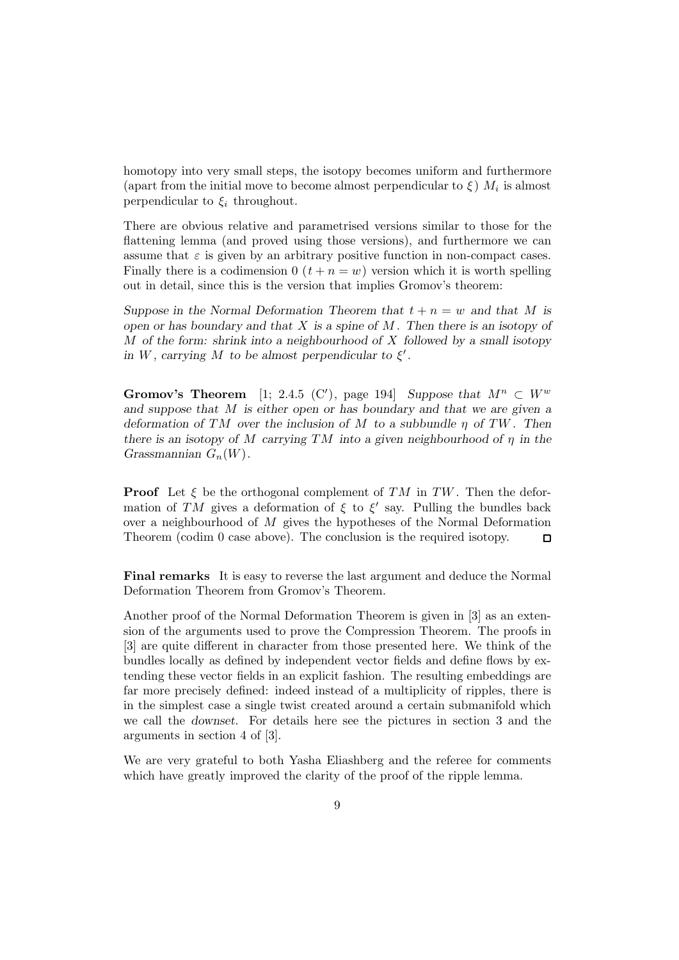homotopy into very small steps, the isotopy becomes uniform and furthermore (apart from the initial move to become almost perpendicular to  $\xi$ )  $M_i$  is almost perpendicular to  $\xi_i$  throughout.

There are obvious relative and parametrised versions similar to those for the flattening lemma (and proved using those versions), and furthermore we can assume that  $\varepsilon$  is given by an arbitrary positive function in non-compact cases. Finally there is a codimension  $0$   $(t + n = w)$  version which it is worth spelling out in detail, since this is the version that implies Gromov's theorem:

*Suppose in the Normal Deformation Theorem that*  $t + n = w$  *and that* M *is open or has boundary and that* X *is a spine of* M *. Then there is an isotopy of* M *of the form: shrink into a neighbourhood of* X *followed by a small isotopy in*  $W$ , carrying  $M$  *to be almost perpendicular to*  $\xi'$ .

**Gromov's Theorem** [1; 2.4.5 (C'), page 194] *Suppose that*  $M^n \subset W^w$ *and suppose that* M *is either open or has boundary and that we are given a deformation of* TM *over the inclusion of* M *to a subbundle* η *of* TW *. Then there is an isotopy of* M *carrying* TM *into a given neighbourhood of* η *in the Grassmannian*  $G_n(W)$ .

**Proof** Let  $\xi$  be the orthogonal complement of TM in TW. Then the deformation of TM gives a deformation of  $\xi$  to  $\xi'$  say. Pulling the bundles back over a neighbourhood of M gives the hypotheses of the Normal Deformation Theorem (codim 0 case above). The conclusion is the required isotopy.  $\Box$ 

**Final remarks** It is easy to reverse the last argument and deduce the Normal Deformation Theorem from Gromov's Theorem.

Another proof of the Normal Deformation Theorem is given in [3] as an extension of the arguments used to prove the Compression Theorem. The proofs in [3] are quite different in character from those presented here. We think of the bundles locally as defined by independent vector fields and define flows by extending these vector fields in an explicit fashion. The resulting embeddings are far more precisely defined: indeed instead of a multiplicity of ripples, there is in the simplest case a single twist created around a certain submanifold which we call the *downset*. For details here see the pictures in section 3 and the arguments in section 4 of [3].

We are very grateful to both Yasha Eliashberg and the referee for comments which have greatly improved the clarity of the proof of the ripple lemma.